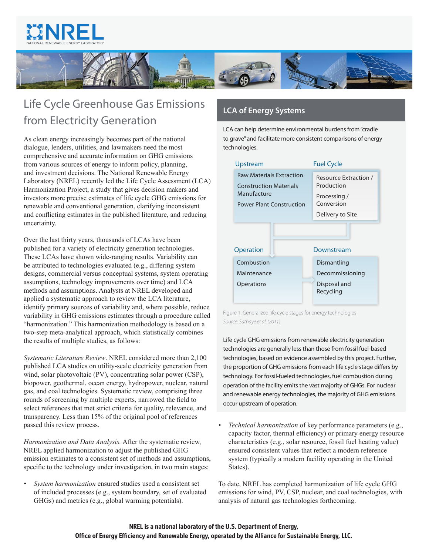



## Life Cycle Greenhouse Gas Emissions LCA of Energy Systems from Electricity Generation

As clean energy increasingly becomes part of the national dialogue, lenders, utilities, and lawmakers need the most comprehensive and accurate information on GHG emissions from various sources of energy to inform policy, planning, and investment decisions. The National Renewable Energy Laboratory (NREL) recently led the Life Cycle Assessment (LCA) Harmonization Project, a study that gives decision makers and investors more precise estimates of life cycle GHG emissions for renewable and conventional generation, clarifying inconsistent and conflicting estimates in the published literature, and reducing uncertainty.

Over the last thirty years, thousands of LCAs have been published for a variety of electricity generation technologies. These LCAs have shown wide-ranging results. Variability can be attributed to technologies evaluated (e.g., differing system designs, commercial versus conceptual systems, system operating assumptions, technology improvements over time) and LCA methods and assumptions. Analysts at NREL developed and applied a systematic approach to review the LCA literature, identify primary sources of variability and, where possible, reduce variability in GHG emissions estimates through a procedure called "harmonization." This harmonization methodology is based on a two-step meta-analytical approach, which statistically combines the results of multiple studies, as follows:

*Systematic Literature Review*. NREL considered more than 2,100 published LCA studies on utility-scale electricity generation from wind, solar photovoltaic (PV), concentrating solar power (CSP), biopower, geothermal, ocean energy, hydropower, nuclear, natural gas, and coal technologies. Systematic review, comprising three rounds of screening by multiple experts, narrowed the field to select references that met strict criteria for quality, relevance, and transparency. Less than 15% of the original pool of references passed this review process.

*Harmonization and Data Analysis.* After the systematic review, NREL applied harmonization to adjust the published GHG emission estimates to a consistent set of methods and assumptions, specific to the technology under investigation, in two main stages:

*• System harmonization* ensured studies used a consistent set of included processes (e.g., system boundary, set of evaluated GHGs) and metrics (e.g., global warming potentials).

LCA can help determine environmental burdens from "cradle to grave" and facilitate more consistent comparisons of energy technologies.

| Upstream                                                                                                           | <b>Fuel Cycle</b>                                                 |
|--------------------------------------------------------------------------------------------------------------------|-------------------------------------------------------------------|
| <b>Raw Materials Extraction</b><br><b>Construction Materials</b><br>Manufacture<br><b>Power Plant Construction</b> | Resource Extraction /<br>Production<br>Processing /<br>Conversion |
|                                                                                                                    | Delivery to Site                                                  |
| <b>Operation</b>                                                                                                   | Downstream                                                        |
| Combustion                                                                                                         | Dismantling                                                       |
| Maintenance                                                                                                        | Decommissioning                                                   |
| Operations                                                                                                         | Disposal and<br>Recycling                                         |

Figure 1. Generalized life cycle stages for energy technologies *Source: Sathaye et al. (2011)*

Life cycle GHG emissions from renewable electricity generation technologies are generally less than those from fossil fuel-based technologies, based on evidence assembled by this project. Further, the proportion of GHG emissions from each life cycle stage differs by technology. For fossil-fueled technologies, fuel combustion during operation of the facility emits the vast majority of GHGs. For nuclear and renewable energy technologies, the majority of GHG emissions occur upstream of operation.

*• Technical harmonization* of key performance parameters (e.g., capacity factor, thermal efficiency) or primary energy resource characteristics (e.g., solar resource, fossil fuel heating value) ensured consistent values that reflect a modern reference system (typically a modern facility operating in the United States).

To date, NREL has completed harmonization of life cycle GHG emissions for wind, PV, CSP, nuclear, and coal technologies, with analysis of natural gas technologies forthcoming.